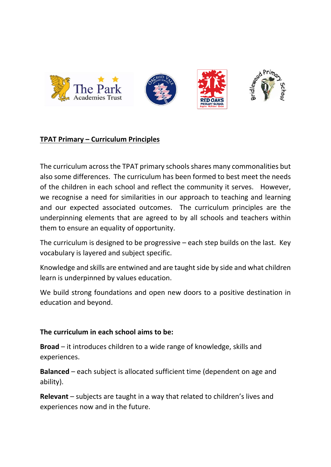

## **TPAT Primary – Curriculum Principles**

The curriculum across the TPAT primary schools shares many commonalities but also some differences. The curriculum has been formed to best meet the needs of the children in each school and reflect the community it serves. However, we recognise a need for similarities in our approach to teaching and learning and our expected associated outcomes. The curriculum principles are the underpinning elements that are agreed to by all schools and teachers within them to ensure an equality of opportunity.

The curriculum is designed to be progressive – each step builds on the last. Key vocabulary is layered and subject specific.

Knowledge and skills are entwined and are taught side by side and what children learn is underpinned by values education.

We build strong foundations and open new doors to a positive destination in education and beyond.

## **The curriculum in each school aims to be:**

**Broad** – it introduces children to a wide range of knowledge, skills and experiences.

**Balanced** – each subject is allocated sufficient time (dependent on age and ability).

**Relevant** – subjects are taught in a way that related to children's lives and experiences now and in the future.